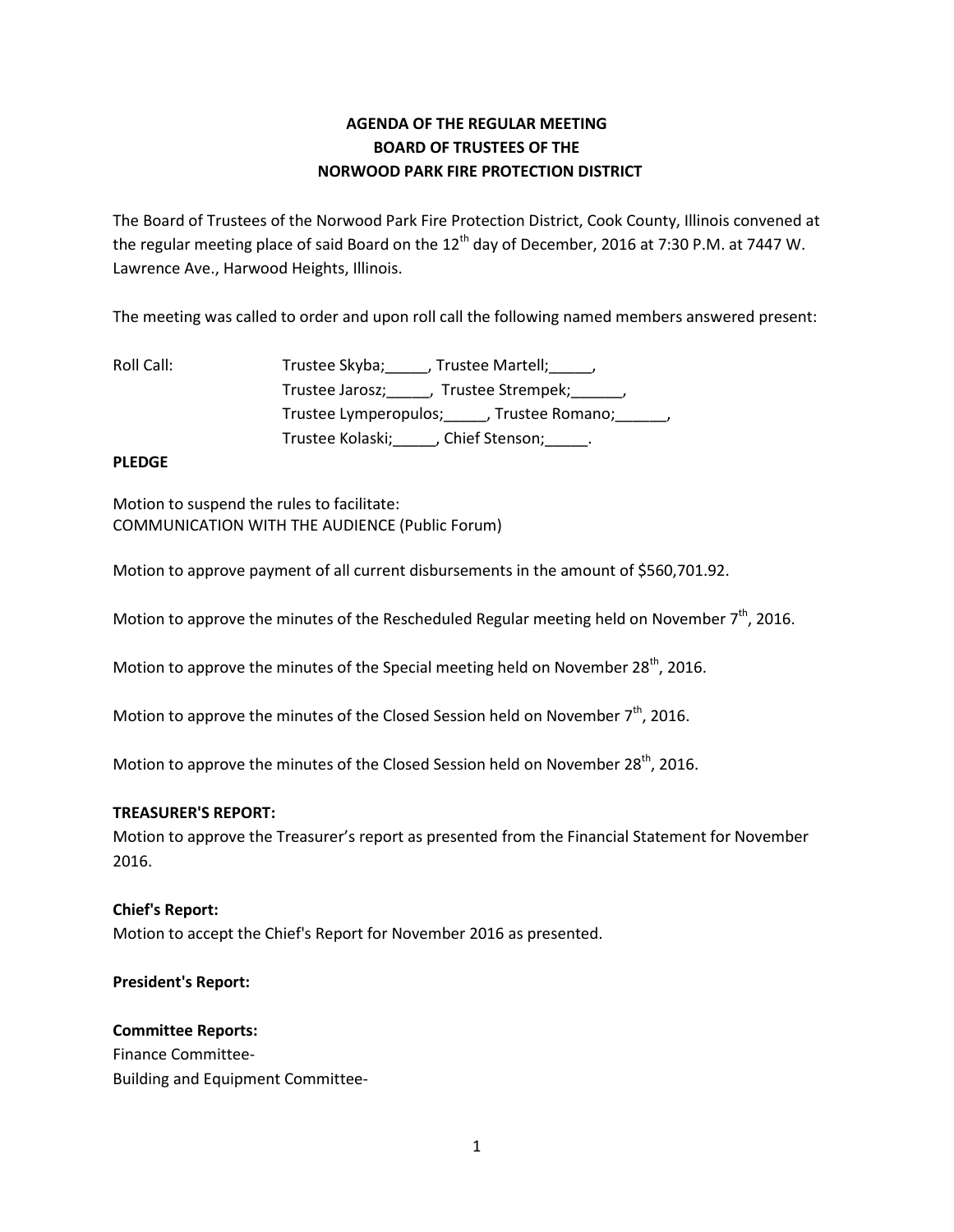# **AGENDA OF THE REGULAR MEETING BOARD OF TRUSTEES OF THE NORWOOD PARK FIRE PROTECTION DISTRICT**

The Board of Trustees of the Norwood Park Fire Protection District, Cook County, Illinois convened at the regular meeting place of said Board on the  $12<sup>th</sup>$  day of December, 2016 at 7:30 P.M. at 7447 W. Lawrence Ave., Harwood Heights, Illinois.

The meeting was called to order and upon roll call the following named members answered present:

| Roll Call: | Trustee Skyba; , Trustee Martell; ,                  |
|------------|------------------------------------------------------|
|            | Trustee Jarosz; _____, Trustee Strempek; ______,     |
|            | Trustee Lymperopulos; _____, Trustee Romano; ______, |
|            | Trustee Kolaski;<br>___, Chief Stenson;___           |

# **PLEDGE**

Motion to suspend the rules to facilitate: COMMUNICATION WITH THE AUDIENCE (Public Forum)

Motion to approve payment of all current disbursements in the amount of \$560,701.92.

Motion to approve the minutes of the Rescheduled Regular meeting held on November  $7<sup>th</sup>$ , 2016.

Motion to approve the minutes of the Special meeting held on November 28<sup>th</sup>, 2016.

Motion to approve the minutes of the Closed Session held on November  $7<sup>th</sup>$ , 2016.

Motion to approve the minutes of the Closed Session held on November 28<sup>th</sup>, 2016.

## **TREASURER'S REPORT:**

Motion to approve the Treasurer's report as presented from the Financial Statement for November 2016.

## **Chief's Report:**

Motion to accept the Chief's Report for November 2016 as presented.

## **President's Report:**

#### **Committee Reports:**

Finance Committee-Building and Equipment Committee-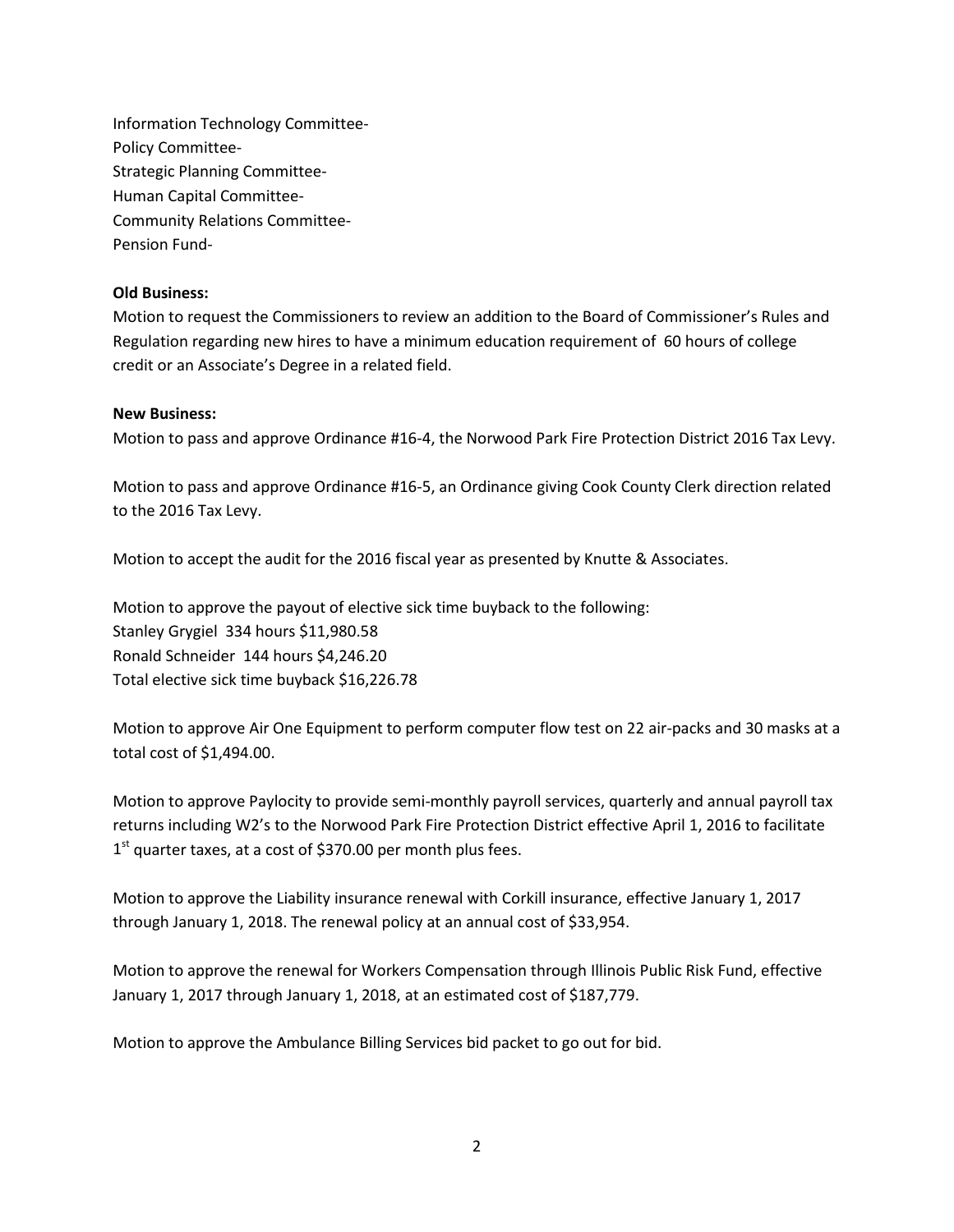Information Technology Committee-Policy Committee-Strategic Planning Committee-Human Capital Committee-Community Relations Committee-Pension Fund-

#### **Old Business:**

Motion to request the Commissioners to review an addition to the Board of Commissioner's Rules and Regulation regarding new hires to have a minimum education requirement of 60 hours of college credit or an Associate's Degree in a related field.

#### **New Business:**

Motion to pass and approve Ordinance #16-4, the Norwood Park Fire Protection District 2016 Tax Levy.

Motion to pass and approve Ordinance #16-5, an Ordinance giving Cook County Clerk direction related to the 2016 Tax Levy.

Motion to accept the audit for the 2016 fiscal year as presented by Knutte & Associates.

Motion to approve the payout of elective sick time buyback to the following: Stanley Grygiel 334 hours \$11,980.58 Ronald Schneider 144 hours \$4,246.20 Total elective sick time buyback \$16,226.78

Motion to approve Air One Equipment to perform computer flow test on 22 air-packs and 30 masks at a total cost of \$1,494.00.

Motion to approve Paylocity to provide semi-monthly payroll services, quarterly and annual payroll tax returns including W2's to the Norwood Park Fire Protection District effective April 1, 2016 to facilitate 1<sup>st</sup> quarter taxes, at a cost of \$370.00 per month plus fees.

Motion to approve the Liability insurance renewal with Corkill insurance, effective January 1, 2017 through January 1, 2018. The renewal policy at an annual cost of \$33,954.

Motion to approve the renewal for Workers Compensation through Illinois Public Risk Fund, effective January 1, 2017 through January 1, 2018, at an estimated cost of \$187,779.

Motion to approve the Ambulance Billing Services bid packet to go out for bid.